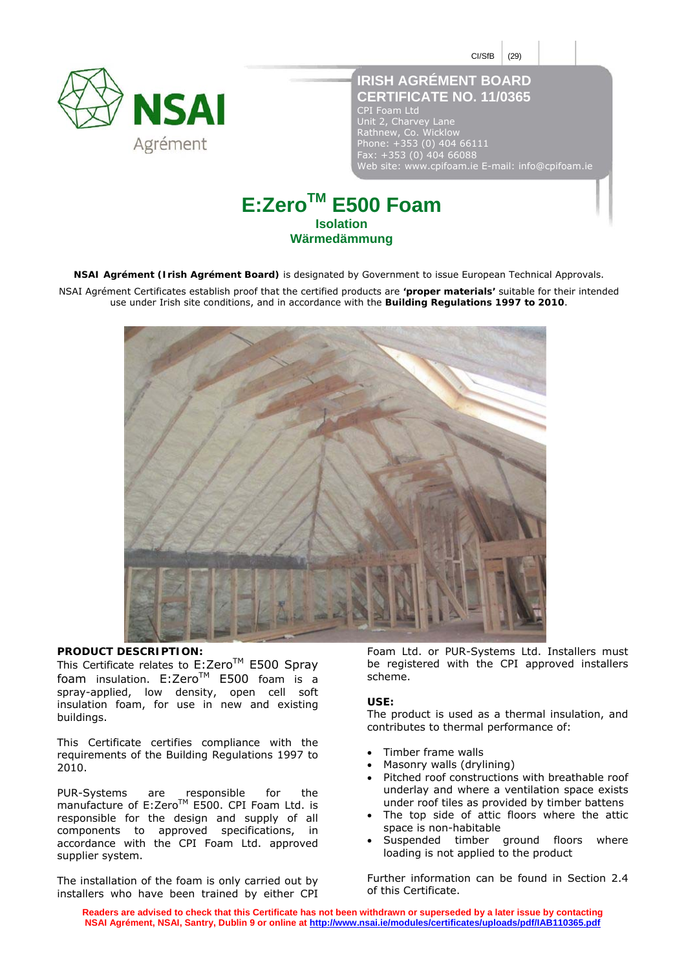$CI/StB$  (29)



# **IRISH AGRÉMENT BOARD CERTIFICATE NO. 11/0365**

CPI Foam Ltd Unit 2, Charvey Lane Rathnew, Co. Wicklow Phone: +353 (0) 404 66111 Fax: +353 (0) 404 66088 Web site: www.cpifoam.ie E-mail: info@cpifoam.ie

# **E:ZeroTM E500 Foam Isolation Wärmedämmung**

**NSAI Agrément (Irish Agrément Board)** is designated by Government to issue European Technical Approvals.

NSAI Agrément Certificates establish proof that the certified products are **'proper materials'** suitable for their intended use under Irish site conditions, and in accordance with the **Building Regulations 1997 to 2010**.



# **PRODUCT DESCRIPTION:**

This Certificate relates to E:Zero™ E500 Spray foam insulation.  $E:Zero^{TM}$  E500 foam is a spray-applied, low density, open cell soft insulation foam, for use in new and existing buildings.

This Certificate certifies compliance with the requirements of the Building Regulations 1997 to 2010.

PUR-Systems are responsible for the manufacture of E:Zero<sup>TM</sup> E500. CPI Foam Ltd. is responsible for the design and supply of all components to approved specifications, in accordance with the CPI Foam Ltd. approved supplier system.

The installation of the foam is only carried out by installers who have been trained by either CPI

Foam Ltd. or PUR-Systems Ltd. Installers must be registered with the CPI approved installers scheme.

### **USE:**

The product is used as a thermal insulation, and contributes to thermal performance of:

- Timber frame walls
- Masonry walls (drylining)
- Pitched roof constructions with breathable roof underlay and where a ventilation space exists under roof tiles as provided by timber battens
- The top side of attic floors where the attic space is non-habitable
- Suspended timber ground floors where loading is not applied to the product

Further information can be found in Section 2.4 of this Certificate.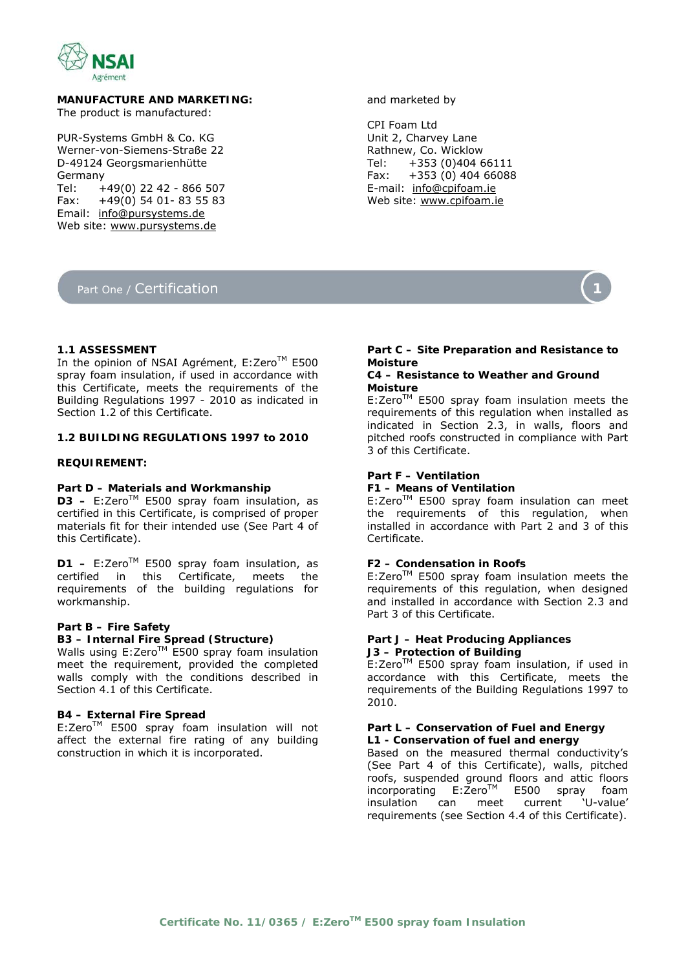

**MANUFACTURE AND MARKETING:**  The product is manufactured:

PUR-Systems GmbH & Co. KG Werner-von-Siemens-Straße 22 D-49124 Georgsmarienhütte Germany Tel: +49(0) 22 42 - 866 507 Fax: +49(0) 54 01- 83 55 83 Email: info@pursystems.de Web site: www.pursystems.de

# Part One / Certification

and marketed by

CPI Foam Ltd Unit 2, Charvey Lane Rathnew, Co. Wicklow<br>Tel:  $+353(0)4046$  $+353(0)40466111$ Fax: +353 (0) 404 66088 E-mail: info@cpifoam.ie Web site: www.cpifoam.ie



# **1.1 ASSESSMENT**

In the opinion of NSAI Agrément, E:Zero™ E500 spray foam insulation, if used in accordance with this Certificate, meets the requirements of the Building Regulations 1997 - 2010 as indicated in Section 1.2 of this Certificate.

# **1.2 BUILDING REGULATIONS 1997 to 2010**

# **REQUIREMENT:**

# *Part D – Materials and Workmanship*

 $D3 - E:Zero^{TM} E500$  spray foam insulation, as certified in this Certificate, is comprised of proper materials fit for their intended use (See Part 4 of this Certificate).

**D1** − E:Zero<sup>™</sup> E500 spray foam insulation, as certified in this Certificate, meets the requirements of the building regulations for workmanship.

# *Part B – Fire Safety*

# **B3 – Internal Fire Spread (Structure)**

Walls using E:ZeroTM E500 spray foam insulation meet the requirement, provided the completed walls comply with the conditions described in Section 4.1 of this Certificate.

#### **B4 – External Fire Spread**

E:ZeroTM E500 spray foam insulation will not affect the external fire rating of any building construction in which it is incorporated.

# *Part C – Site Preparation and Resistance to Moisture*

# **C4 – Resistance to Weather and Ground Moisture**

 $E:Zero^{TM}$  E500 spray foam insulation meets the requirements of this regulation when installed as indicated in Section 2.3, in walls, floors and pitched roofs constructed in compliance with Part 3 of this Certificate.

# *Part F – Ventilation*

# **F1 – Means of Ventilation**

 $E:Zero^{TM}$  E500 spray foam insulation can meet the requirements of this regulation, when installed in accordance with Part 2 and 3 of this Certificate.

#### **F2 – Condensation in Roofs**

E:Zero™ E500 spray foam insulation meets the requirements of this regulation, when designed and installed in accordance with Section 2.3 and Part 3 of this Certificate.

## *Part J – Heat Producing Appliances*  **J3 – Protection of Building**

E:Zero™ E500 spray foam insulation, if used in accordance with this Certificate, meets the requirements of the Building Regulations 1997 to 2010.

# *Part L – Conservation of Fuel and Energy*  **L1 - Conservation of fuel and energy**

Based on the measured thermal conductivity's (See Part 4 of this Certificate), walls, pitched roofs, suspended ground floors and attic floors incorporating E:ZeroTM E500 spray foam insulation can meet current 'U-value' requirements (see Section 4.4 of this Certificate).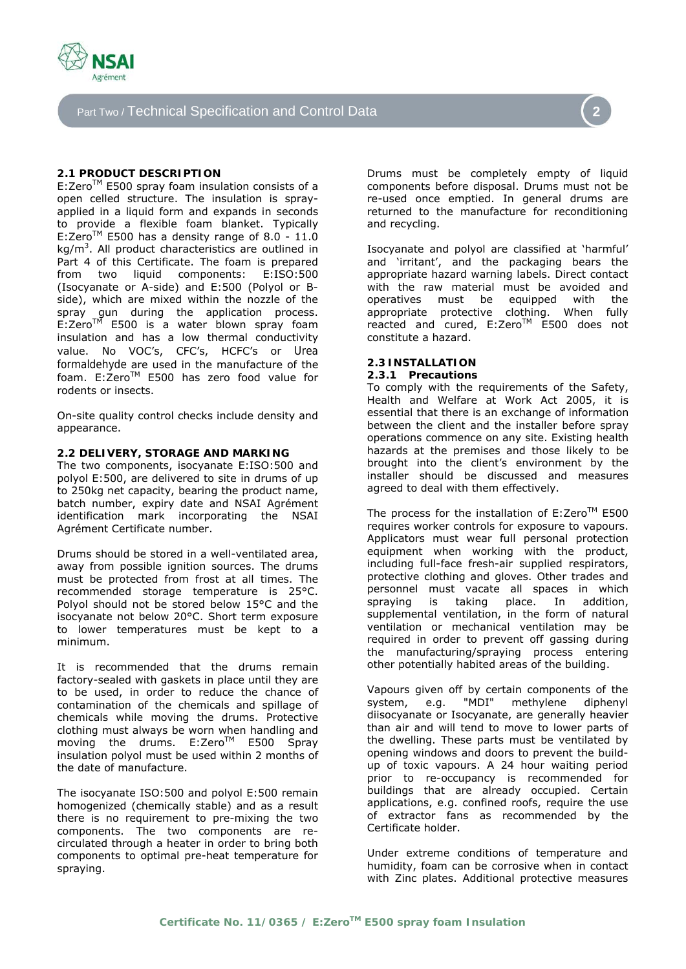

Part Two / Technical Specification and Control Data **2** 

# **2.1 PRODUCT DESCRIPTION**

E:Zero™ E500 spray foam insulation consists of a open celled structure. The insulation is sprayapplied in a liquid form and expands in seconds to provide a flexible foam blanket. Typically E:Zero<sup>TM</sup> E500 has a density range of 8.0 - 11.0 kg/m<sup>3</sup>. All product characteristics are outlined in Part 4 of this Certificate. The foam is prepared from two liquid components: E:ISO:500 (Isocyanate or A-side) and E:500 (Polyol or Bside), which are mixed within the nozzle of the spray gun during the application process.  $E:Zero^{TM}$  E500 is a water blown spray foam insulation and has a low thermal conductivity value. No VOC's, CFC's, HCFC's or Urea formaldehyde are used in the manufacture of the foam. E: Zero™ E500 has zero food value for rodents or insects.

On-site quality control checks include density and appearance.

# **2.2 DELIVERY, STORAGE AND MARKING**

The two components, isocyanate E:ISO:500 and polyol E:500, are delivered to site in drums of up to 250kg net capacity, bearing the product name, batch number, expiry date and NSAI Agrément identification mark incorporating the NSAI Agrément Certificate number.

Drums should be stored in a well-ventilated area, away from possible ignition sources. The drums must be protected from frost at all times. The recommended storage temperature is 25°C. Polyol should not be stored below 15°C and the isocyanate not below 20°C. Short term exposure to lower temperatures must be kept to a minimum.

It is recommended that the drums remain factory-sealed with gaskets in place until they are to be used, in order to reduce the chance of contamination of the chemicals and spillage of chemicals while moving the drums. Protective clothing must always be worn when handling and moving the drums. E:Zero™ E500 Spray insulation polyol must be used within 2 months of the date of manufacture.

The isocyanate ISO:500 and polyol E:500 remain homogenized (chemically stable) and as a result there is no requirement to pre-mixing the two components. The two components are recirculated through a heater in order to bring both components to optimal pre-heat temperature for spraying.

Drums must be completely empty of liquid components before disposal. Drums must not be re-used once emptied. In general drums are returned to the manufacture for reconditioning and recycling.

Isocyanate and polyol are classified at 'harmful' and 'irritant', and the packaging bears the appropriate hazard warning labels. Direct contact with the raw material must be avoided and operatives must be equipped with the appropriate protective clothing. When fully reacted and cured, E:Zero™ E500 does not constitute a hazard.

#### **2.3 INSTALLATION 2.3.1 Precautions**

To comply with the requirements of the Safety, Health and Welfare at Work Act 2005, it is essential that there is an exchange of information between the client and the installer before spray operations commence on any site. Existing health hazards at the premises and those likely to be brought into the client's environment by the installer should be discussed and measures agreed to deal with them effectively.

The process for the installation of  $E:Zero^{TM}E500$ requires worker controls for exposure to vapours. Applicators must wear full personal protection equipment when working with the product, including full-face fresh-air supplied respirators, protective clothing and gloves. Other trades and personnel must vacate all spaces in which spraying is taking place. In addition, supplemental ventilation, in the form of natural ventilation or mechanical ventilation may be required in order to prevent off gassing during the manufacturing/spraying process entering other potentially habited areas of the building.

Vapours given off by certain components of the system, e.g. "MDI" methylene diphenyl diisocyanate or Isocyanate, are generally heavier than air and will tend to move to lower parts of the dwelling. These parts must be ventilated by opening windows and doors to prevent the buildup of toxic vapours. A 24 hour waiting period prior to re-occupancy is recommended for buildings that are already occupied. Certain applications, e.g. confined roofs, require the use of extractor fans as recommended by the Certificate holder.

Under extreme conditions of temperature and humidity, foam can be corrosive when in contact with Zinc plates. Additional protective measures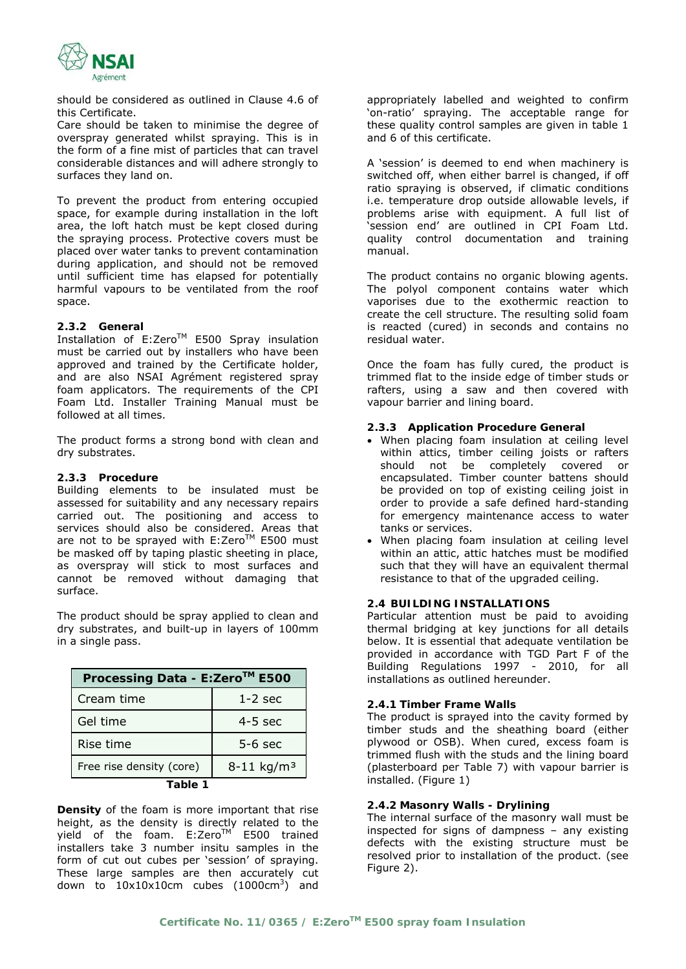

should be considered as outlined in Clause 4.6 of this Certificate.

Care should be taken to minimise the degree of overspray generated whilst spraying. This is in the form of a fine mist of particles that can travel considerable distances and will adhere strongly to surfaces they land on.

To prevent the product from entering occupied space, for example during installation in the loft area, the loft hatch must be kept closed during the spraying process. Protective covers must be placed over water tanks to prevent contamination during application, and should not be removed until sufficient time has elapsed for potentially harmful vapours to be ventilated from the roof space.

# **2.3.2 General**

Installation of E:Zero™ E500 Spray insulation must be carried out by installers who have been approved and trained by the Certificate holder, and are also NSAI Agrément registered spray foam applicators. The requirements of the CPI Foam Ltd. Installer Training Manual must be followed at all times.

The product forms a strong bond with clean and dry substrates.

# **2.3.3 Procedure**

Building elements to be insulated must be assessed for suitability and any necessary repairs carried out. The positioning and access to services should also be considered. Areas that are not to be sprayed with E:Zero™ E500 must be masked off by taping plastic sheeting in place, as overspray will stick to most surfaces and cannot be removed without damaging that surface.

The product should be spray applied to clean and dry substrates, and built-up in layers of 100mm in a single pass.

| Processing Data - E:Zero™ E500 |                            |  |  |
|--------------------------------|----------------------------|--|--|
| Cream time                     | $1-2$ sec                  |  |  |
| Gel time                       | $4-5$ sec                  |  |  |
| Rise time                      | $5-6$ sec                  |  |  |
| Free rise density (core)       | $8 - 11$ kg/m <sup>3</sup> |  |  |
| اد⊤                            |                            |  |  |

**Table 1** 

**Density** of the foam is more important that rise height, as the density is directly related to the yield of the foam.  $E:Zero^{TM'}$  E500 trained installers take 3 number insitu samples in the form of cut out cubes per 'session' of spraying. These large samples are then accurately cut down to  $10x10x10cm$  cubes (1000cm<sup>3</sup>) and appropriately labelled and weighted to confirm 'on-ratio' spraying. The acceptable range for these quality control samples are given in table 1 and 6 of this certificate.

A 'session' is deemed to end when machinery is switched off, when either barrel is changed, if off ratio spraying is observed, if climatic conditions i.e. temperature drop outside allowable levels, if problems arise with equipment. A full list of 'session end' are outlined in CPI Foam Ltd. quality control documentation and training manual.

The product contains no organic blowing agents. The polyol component contains water which vaporises due to the exothermic reaction to create the cell structure. The resulting solid foam is reacted (cured) in seconds and contains no residual water.

Once the foam has fully cured, the product is trimmed flat to the inside edge of timber studs or rafters, using a saw and then covered with vapour barrier and lining board.

#### **2.3.3 Application Procedure General**

- When placing foam insulation at ceiling level within attics, timber ceiling joists or rafters should not be completely covered or encapsulated. Timber counter battens should be provided on top of existing ceiling joist in order to provide a safe defined hard-standing for emergency maintenance access to water tanks or services.
- When placing foam insulation at ceiling level within an attic, attic hatches must be modified such that they will have an equivalent thermal resistance to that of the upgraded ceiling.

## **2.4 BUILDING INSTALLATIONS**

Particular attention must be paid to avoiding thermal bridging at key junctions for all details below. It is essential that adequate ventilation be provided in accordance with TGD Part F of the Building Regulations 1997 - 2010, for all installations as outlined hereunder.

#### **2.4.1 Timber Frame Walls**

The product is sprayed into the cavity formed by timber studs and the sheathing board (either plywood or OSB). When cured, excess foam is trimmed flush with the studs and the lining board (plasterboard per Table 7) with vapour barrier is installed. (Figure 1)

## **2.4.2 Masonry Walls - Drylining**

The internal surface of the masonry wall must be inspected for signs of dampness – any existing defects with the existing structure must be resolved prior to installation of the product. (see Figure 2).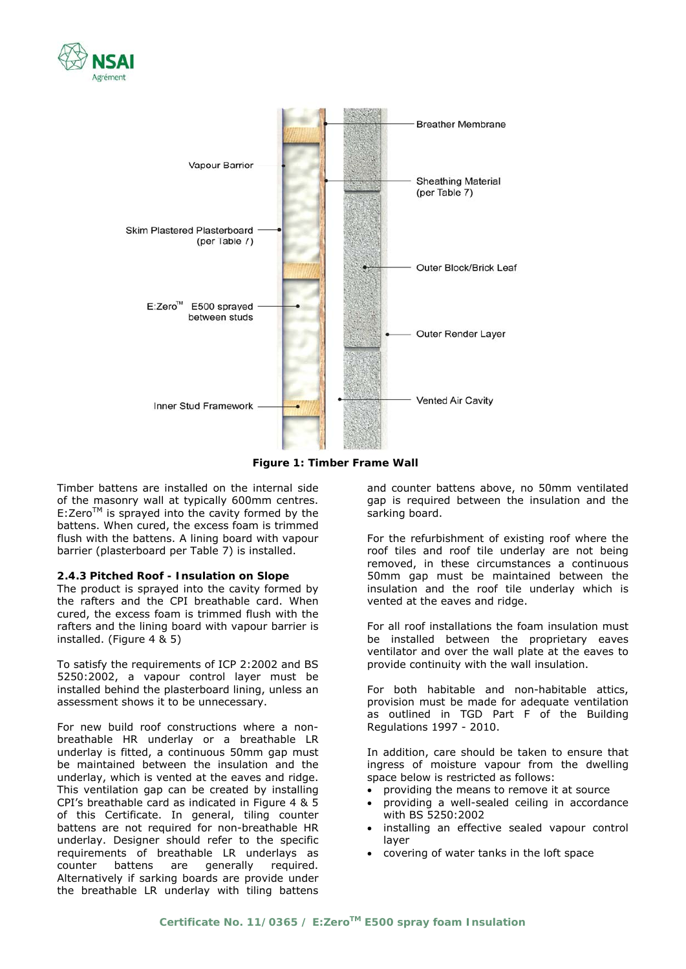



**Figure 1: Timber Frame Wall** 

Timber battens are installed on the internal side of the masonry wall at typically 600mm centres.  $E:Zero^{TM}$  is sprayed into the cavity formed by the battens. When cured, the excess foam is trimmed flush with the battens. A lining board with vapour barrier (plasterboard per Table 7) is installed.

#### **2.4.3 Pitched Roof - Insulation on Slope**

The product is sprayed into the cavity formed by the rafters and the CPI breathable card. When cured, the excess foam is trimmed flush with the rafters and the lining board with vapour barrier is installed. (Figure 4 & 5)

To satisfy the requirements of ICP 2:2002 and BS 5250:2002, a vapour control layer must be installed behind the plasterboard lining, unless an assessment shows it to be unnecessary.

For new build roof constructions where a nonbreathable HR underlay or a breathable LR underlay is fitted, a continuous 50mm gap must be maintained between the insulation and the underlay, which is vented at the eaves and ridge. This ventilation gap can be created by installing CPI's breathable card as indicated in Figure 4 & 5 of this Certificate. In general, tiling counter battens are not required for non-breathable HR underlay. Designer should refer to the specific requirements of breathable LR underlays as counter battens are generally required. Alternatively if sarking boards are provide under the breathable LR underlay with tiling battens

and counter battens above, no 50mm ventilated gap is required between the insulation and the sarking board.

For the refurbishment of existing roof where the roof tiles and roof tile underlay are not being removed, in these circumstances a continuous 50mm gap must be maintained between the insulation and the roof tile underlay which is vented at the eaves and ridge.

For all roof installations the foam insulation must be installed between the proprietary eaves ventilator and over the wall plate at the eaves to provide continuity with the wall insulation.

For both habitable and non-habitable attics, provision must be made for adequate ventilation as outlined in TGD Part F of the Building Regulations 1997 - 2010.

In addition, care should be taken to ensure that ingress of moisture vapour from the dwelling space below is restricted as follows:

- providing the means to remove it at source
- providing a well-sealed ceiling in accordance with BS 5250:2002
- installing an effective sealed vapour control layer
- covering of water tanks in the loft space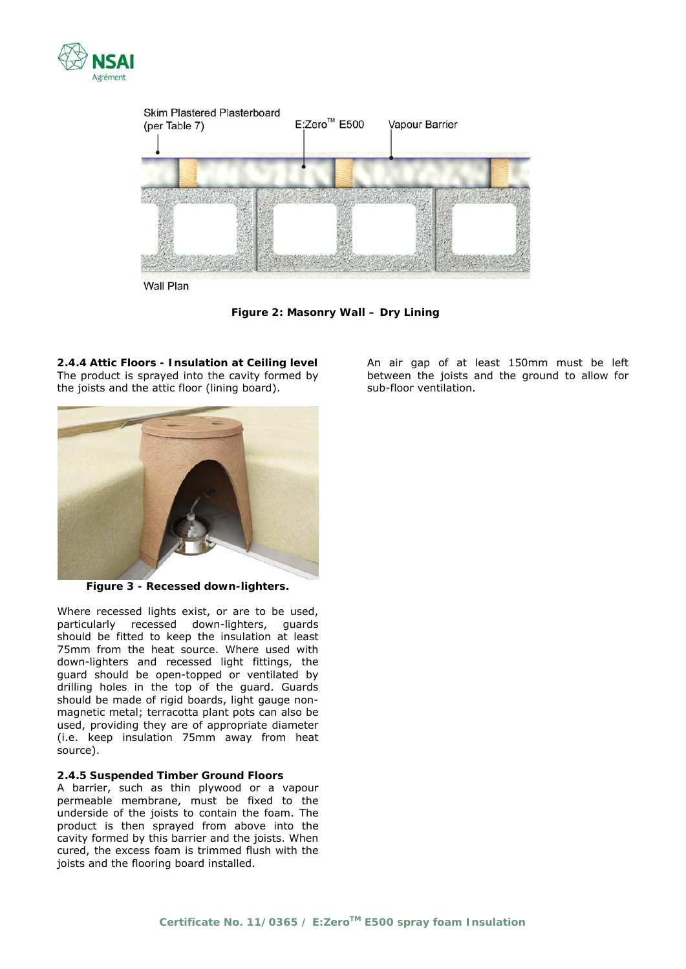



**Figure 2: Masonry Wall – Dry Lining** 

**2.4.4 Attic Floors - Insulation at Ceiling level**  The product is sprayed into the cavity formed by the joists and the attic floor (lining board).



**Figure 3 - Recessed down-lighters.** 

Where recessed lights exist, or are to be used, particularly recessed down-lighters, guards should be fitted to keep the insulation at least 75mm from the heat source. Where used with down-lighters and recessed light fittings, the guard should be open-topped or ventilated by drilling holes in the top of the guard. Guards should be made of rigid boards, light gauge nonmagnetic metal; terracotta plant pots can also be used, providing they are of appropriate diameter (i.e. keep insulation 75mm away from heat source).

# **2.4.5 Suspended Timber Ground Floors**

A barrier, such as thin plywood or a vapour permeable membrane, must be fixed to the underside of the joists to contain the foam. The product is then sprayed from above into the cavity formed by this barrier and the joists. When cured, the excess foam is trimmed flush with the joists and the flooring board installed.

An air gap of at least 150mm must be left between the joists and the ground to allow for sub-floor ventilation.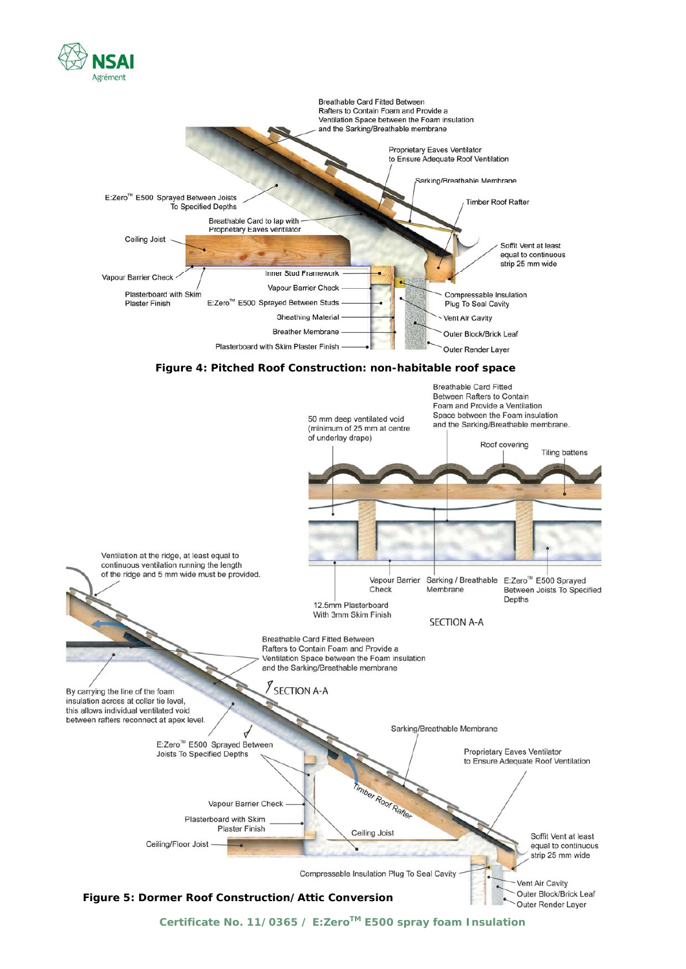

Certificate No. 11/0365 / E:Zero<sup>™</sup> E500 spray foam Insulation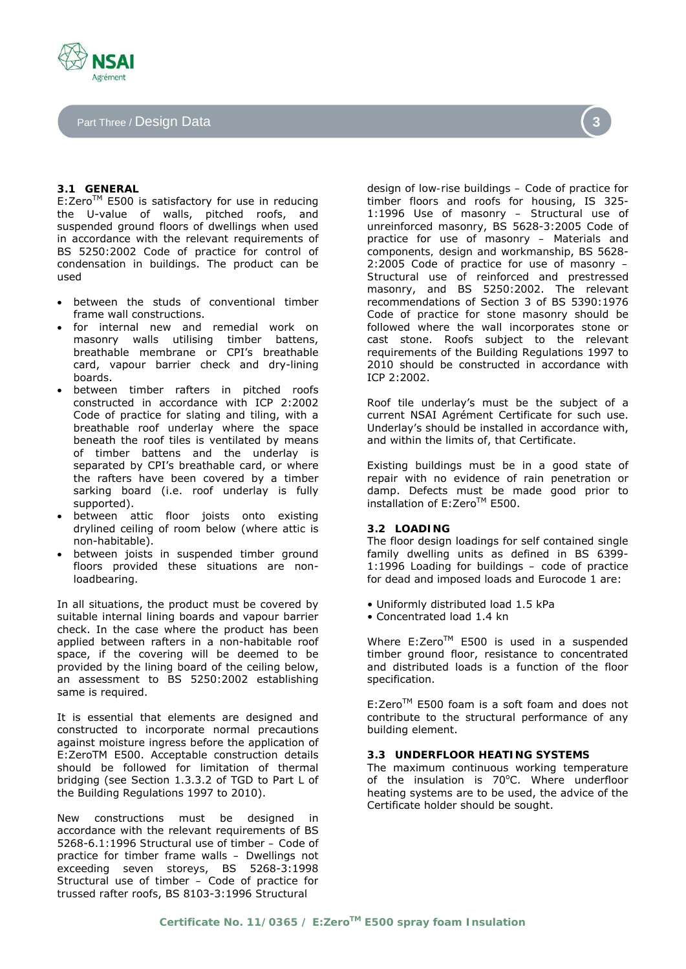Part Three / Design Data

# **3.1 GENERAL**

E:Zero™ E500 is satisfactory for use in reducing the U-value of walls, pitched roofs, and suspended ground floors of dwellings when used in accordance with the relevant requirements of BS 5250:2002 *Code of practice for control of condensation in buildings*. The product can be used

- between the studs of conventional timber frame wall constructions.
- for internal new and remedial work on masonry walls utilising timber battens, breathable membrane or CPI's breathable card, vapour barrier check and dry-lining boards.
- between timber rafters in pitched roofs constructed in accordance with ICP 2:2002 *Code of practice for slating and tiling*, with a breathable roof underlay where the space beneath the roof tiles is ventilated by means of timber battens and the underlay is separated by CPI's breathable card, or where the rafters have been covered by a timber sarking board (i.e. roof underlay is fully supported).
- between attic floor joists onto existing drylined ceiling of room below (where attic is non-habitable).
- between joists in suspended timber ground floors provided these situations are nonloadbearing.

In all situations, the product must be covered by suitable internal lining boards and vapour barrier check. In the case where the product has been applied between rafters in a non-habitable roof space, if the covering will be deemed to be provided by the lining board of the ceiling below, an assessment to BS 5250:2002 establishing same is required.

It is essential that elements are designed and constructed to incorporate normal precautions against moisture ingress before the application of E:ZeroTM E500. Acceptable construction details should be followed for limitation of thermal bridging (see Section 1.3.3.2 of TGD to Part L of the Building Regulations 1997 to 2010).

New constructions must be designed in accordance with the relevant requirements of BS 5268-6.1:1996 *Structural use of timber – Code of practice for timber frame walls – Dwellings not exceeding seven storeys*, BS 5268-3:1998 *Structural use of timber – Code of practice for trussed rafter roofs*, BS 8103-3:1996 *Structural* 

*design of low-rise buildings – Code of practice for timber floors and roofs for housing*, IS 325- 1:1996 *Use of masonry – Structural use of unreinforced masonry*, BS 5628-3:2005 *Code of practice for use of masonry – Materials and components, design and workmanship*, BS 5628- 2:2005 *Code of practice for use of masonry – Structural use of reinforced and prestressed masonry*, and BS 5250:2002. The relevant recommendations of Section 3 of BS 5390:1976 *Code of practice for stone masonry* should be followed where the wall incorporates stone or cast stone. Roofs subject to the relevant requirements of the Building Regulations 1997 to 2010 should be constructed in accordance with ICP 2:2002.

Roof tile underlay's must be the subject of a current NSAI Agrément Certificate for such use. Underlay's should be installed in accordance with, and within the limits of, that Certificate.

Existing buildings must be in a good state of repair with no evidence of rain penetration or damp. Defects must be made good prior to installation of E:Zero™ E500.

# **3.2 LOADING**

The floor design loadings for self contained single family dwelling units as defined in BS 6399- 1:1996 *Loading for buildings – code of practice for dead and imposed loads* and Eurocode 1 are:

- Uniformly distributed load 1.5 kPa
- Concentrated load 1.4 kn

Where E:Zero™ E500 is used in a suspended timber ground floor, resistance to concentrated and distributed loads is a function of the floor specification.

 $E:Zero^{TM}$  E500 foam is a soft foam and does not contribute to the structural performance of any building element.

# **3.3 UNDERFLOOR HEATING SYSTEMS**

The maximum continuous working temperature of the insulation is 70°C. Where underfloor heating systems are to be used, the advice of the Certificate holder should be sought.



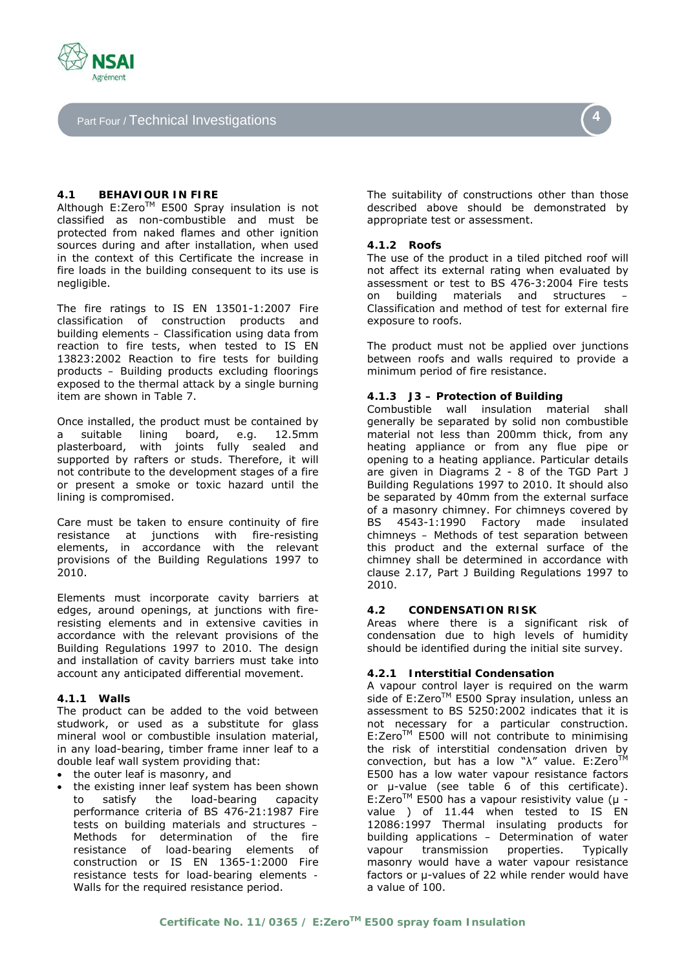

Part Four / Technical Investigations

# **4.1 BEHAVIOUR IN FIRE**

Although E:Zero™ E500 Spray insulation is not classified as non-combustible and must be protected from naked flames and other ignition sources during and after installation, when used in the context of this Certificate the increase in fire loads in the building consequent to its use is negligible.

The fire ratings to IS EN 13501-1:2007 *Fire classification of construction products and building elements – Classification using data from reaction to fire tests*, when tested to IS EN 13823:2002 *Reaction to fire tests for building products – Building products excluding floorings exposed to the thermal attack by a single burning item* are shown in Table 7.

Once installed, the product must be contained by a suitable lining board, e.g. 12.5mm plasterboard, with joints fully sealed and supported by rafters or studs. Therefore, it will not contribute to the development stages of a fire or present a smoke or toxic hazard until the lining is compromised.

Care must be taken to ensure continuity of fire resistance at junctions with fire-resisting elements, in accordance with the relevant provisions of the Building Regulations 1997 to 2010.

Elements must incorporate cavity barriers at edges, around openings, at junctions with fireresisting elements and in extensive cavities in accordance with the relevant provisions of the Building Regulations 1997 to 2010. The design and installation of cavity barriers must take into account any anticipated differential movement.

# **4.1.1 Walls**

The product can be added to the void between studwork, or used as a substitute for glass mineral wool or combustible insulation material, in any load-bearing, timber frame inner leaf to a double leaf wall system providing that:

- the outer leaf is masonry, and
- the existing inner leaf system has been shown to satisfy the load-bearing capacity performance criteria of BS 476-21:1987 *Fire tests on building materials and structures – Methods for determination of the fire resistance of load-bearing elements of construction* or IS EN 1365-1:2000 *Fire resistance tests for load-bearing elements - Walls* for the required resistance period.

The suitability of constructions other than those described above should be demonstrated by appropriate test or assessment.

# **4.1.2 Roofs**

The use of the product in a tiled pitched roof will not affect its external rating when evaluated by assessment or test to BS 476-3:2004 *Fire tests on building materials and structures – Classification and method of test for external fire exposure to roofs*.

The product must not be applied over junctions between roofs and walls required to provide a minimum period of fire resistance.

#### **4.1.3 J3 – Protection of Building**

Combustible wall insulation material shall generally be separated by solid non combustible material not less than 200mm thick, from any heating appliance or from any flue pipe or opening to a heating appliance. Particular details are given in Diagrams 2 - 8 of the TGD Part J Building Regulations 1997 to 2010. It should also be separated by 40mm from the external surface of a masonry chimney. For chimneys covered by BS 4543-1:1990 *Factory made insulated chimneys – Methods of test* separation between this product and the external surface of the chimney shall be determined in accordance with clause 2.17, Part J Building Regulations 1997 to 2010.

## **4.2 CONDENSATION RISK**

Areas where there is a significant risk of condensation due to high levels of humidity should be identified during the initial site survey.

# **4.2.1 Interstitial Condensation**

A vapour control layer is required on the warm side of E:Zero™ E500 Spray insulation, unless an assessment to BS 5250:2002 indicates that it is not necessary for a particular construction. E:Zero™ E500 will not contribute to minimising the risk of interstitial condensation driven by convection, but has a low " $\lambda$ " value. E:Zero<sup>TM</sup> E500 has a low water vapour resistance factors or μ-value (see table 6 of this certificate). E:ZeroTM E500 has a vapour resistivity value (μ value ) of 11.44 when tested to IS EN 12086:1997 *Thermal insulating products for building applications – Determination of water vapour transmission properties*. Typically masonry would have a water vapour resistance factors or μ-values of 22 while render would have a value of 100.

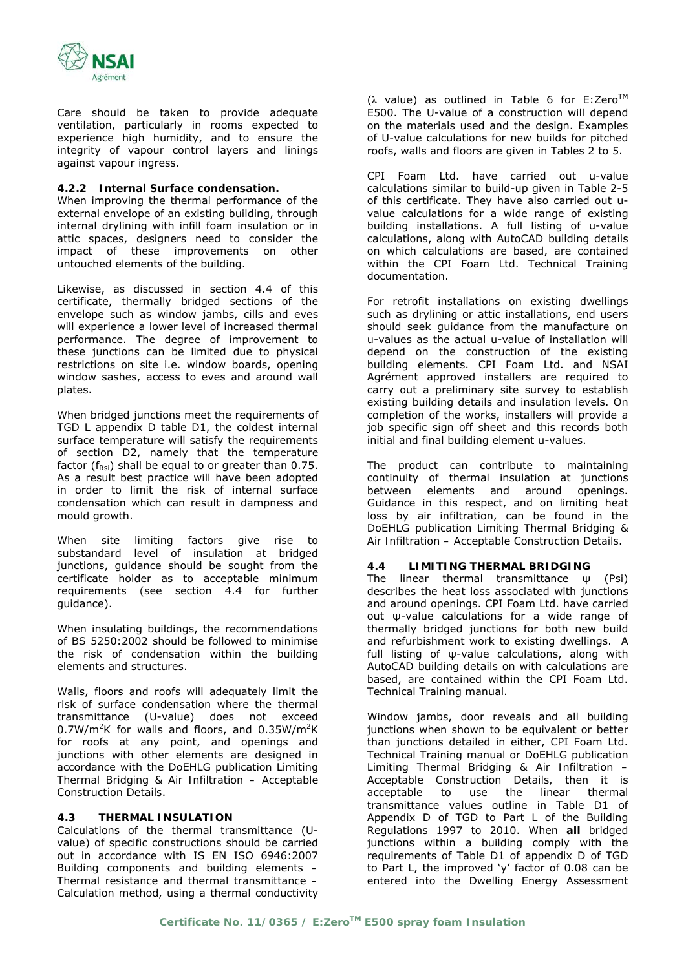

Care should be taken to provide adequate ventilation, particularly in rooms expected to experience high humidity, and to ensure the integrity of vapour control layers and linings against vapour ingress.

# **4.2.2 Internal Surface condensation.**

When improving the thermal performance of the external envelope of an existing building, through internal drylining with infill foam insulation or in attic spaces, designers need to consider the impact of these improvements on other untouched elements of the building.

Likewise, as discussed in section 4.4 of this certificate, thermally bridged sections of the envelope such as window jambs, cills and eves will experience a lower level of increased thermal performance. The degree of improvement to these junctions can be limited due to physical restrictions on site i.e. window boards, opening window sashes, access to eves and around wall plates.

When bridged junctions meet the requirements of TGD L appendix D table D1, the coldest internal surface temperature will satisfy the requirements of section D2, namely that the temperature factor ( $f_{\text{Rsi}}$ ) shall be equal to or greater than 0.75. As a result best practice will have been adopted in order to limit the risk of internal surface condensation which can result in dampness and mould growth.

When site limiting factors give rise to substandard level of insulation at bridged junctions, guidance should be sought from the certificate holder as to acceptable minimum requirements (see section 4.4 for further guidance).

When insulating buildings, the recommendations of BS 5250:2002 should be followed to minimise the risk of condensation within the building elements and structures.

Walls, floors and roofs will adequately limit the risk of surface condensation where the thermal transmittance (U-value) does not exceed  $0.7W/m^2K$  for walls and floors, and  $0.35W/m^2K$ for roofs at any point, and openings and junctions with other elements are designed in accordance with the DoEHLG publication *Limiting Thermal Bridging & Air Infiltration – Acceptable Construction Details*.

# **4.3 THERMAL INSULATION**

Calculations of the thermal transmittance (Uvalue) of specific constructions should be carried out in accordance with IS EN ISO 6946:2007 *Building components and building elements – Thermal resistance and thermal transmittance – Calculation method*, using a thermal conductivity

(λ value) as outlined in Table 6 for E:Zero<sup>TM</sup> E500. The U-value of a construction will depend on the materials used and the design. Examples of U-value calculations for new builds for pitched roofs, walls and floors are given in Tables 2 to 5.

CPI Foam Ltd. have carried out u-value calculations similar to build-up given in Table 2-5 of this certificate. They have also carried out uvalue calculations for a wide range of existing building installations. A full listing of u-value calculations, along with AutoCAD building details on which calculations are based, are contained within the CPI Foam Ltd. Technical Training documentation.

For retrofit installations on existing dwellings such as drylining or attic installations, end users should seek guidance from the manufacture on u-values as the actual u-value of installation will depend on the construction of the existing building elements. CPI Foam Ltd. and NSAI Agrément approved installers are required to carry out a preliminary site survey to establish existing building details and insulation levels. On completion of the works, installers will provide a job specific sign off sheet and this records both initial and final building element u-values.

The product can contribute to maintaining continuity of thermal insulation at junctions between elements and around openings. Guidance in this respect, and on limiting heat loss by air infiltration, can be found in the DoEHLG publication *Limiting Thermal Bridging & Air Infiltration – Acceptable Construction Details*.

# **4.4 LIMITING THERMAL BRIDGING**

The linear thermal transmittance ω (Psi) describes the heat loss associated with junctions and around openings. CPI Foam Ltd. have carried out ψ-value calculations for a wide range of thermally bridged junctions for both new build and refurbishment work to existing dwellings. A full listing of ψ-value calculations, along with AutoCAD building details on with calculations are based, are contained within the CPI Foam Ltd. Technical Training manual.

Window jambs, door reveals and all building junctions when shown to be equivalent or better than junctions detailed in either, CPI Foam Ltd. Technical Training manual or DoEHLG publication *Limiting Thermal Bridging & Air Infiltration – Acceptable Construction Details,* then it is acceptable to use the linear thermal transmittance values outline in Table D1 of Appendix D of TGD to Part L of the Building Regulations 1997 to 2010. When **all** bridged junctions within a building comply with the requirements of Table D1 of appendix D of TGD to Part L, the improved 'y' factor of 0.08 can be entered into the Dwelling Energy Assessment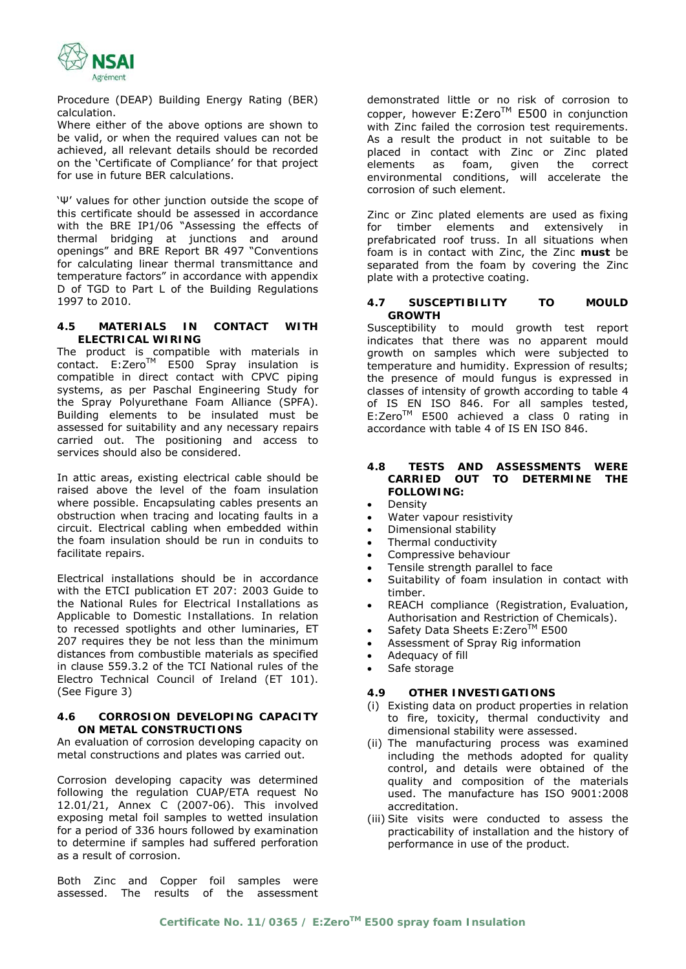

Procedure (DEAP) Building Energy Rating (BER) calculation.

Where either of the above options are shown to be valid, or when the required values can not be achieved, all relevant details should be recorded on the 'Certificate of Compliance' for that project for use in future BER calculations.

'Ψ' values for other junction outside the scope of this certificate should be assessed in accordance with the BRE IP1/06 "Assessing the effects of thermal bridging at junctions and around openings" and BRE Report BR 497 "Conventions for calculating linear thermal transmittance and temperature factors" in accordance with appendix D of TGD to Part L of the Building Regulations 1997 to 2010.

# **4.5 MATERIALS IN CONTACT WITH ELECTRICAL WIRING**

The product is compatible with materials in contact. E:Zero™ E500 Spray insulation is compatible in direct contact with CPVC piping systems, as per Paschal Engineering Study for the Spray Polyurethane Foam Alliance (SPFA). Building elements to be insulated must be assessed for suitability and any necessary repairs carried out. The positioning and access to services should also be considered.

In attic areas, existing electrical cable should be raised above the level of the foam insulation where possible. Encapsulating cables presents an obstruction when tracing and locating faults in a circuit. Electrical cabling when embedded within the foam insulation should be run in conduits to facilitate repairs.

Electrical installations should be in accordance with the ETCI publication ET 207: 2003 *Guide to the National Rules for Electrical Installations as Applicable to Domestic Installations.* In relation to recessed spotlights and other luminaries, ET 207 requires they be not less than the minimum distances from combustible materials as specified in clause 559.3.2 of the TCI National rules of the Electro Technical Council of Ireland (ET 101). (See Figure 3)

# **4.6 CORROSION DEVELOPING CAPACITY ON METAL CONSTRUCTIONS**

An evaluation of corrosion developing capacity on metal constructions and plates was carried out.

Corrosion developing capacity was determined following the regulation CUAP/ETA request No 12.01/21, Annex C (2007-06). This involved exposing metal foil samples to wetted insulation for a period of 336 hours followed by examination to determine if samples had suffered perforation as a result of corrosion.

Both Zinc and Copper foil samples were assessed. The results of the assessment

demonstrated little or no risk of corrosion to copper, however  $E:Zero^{TM}$  E500 in conjunction with Zinc failed the corrosion test requirements. As a result the product in not suitable to be placed in contact with Zinc or Zinc plated elements as foam, given the correct environmental conditions, will accelerate the corrosion of such element.

Zinc or Zinc plated elements are used as fixing for timber elements and extensively in prefabricated roof truss. In all situations when foam is in contact with Zinc, the Zinc **must** be separated from the foam by covering the Zinc plate with a protective coating.

#### **4.7 SUSCEPTIBILITY TO MOULD GROWTH**

Susceptibility to mould growth test report indicates that there was no apparent mould growth on samples which were subjected to temperature and humidity. Expression of results; the presence of mould fungus is expressed in classes of intensity of growth according to table 4 of IS EN ISO 846. For all samples tested, E:Zero™ E500 achieved a class 0 rating in accordance with table 4 of IS EN ISO 846.

## **4.8 TESTS AND ASSESSMENTS WERE CARRIED OUT TO DETERMINE THE FOLLOWING:**

- **Density**
- Water vapour resistivity
- Dimensional stability
- Thermal conductivity
- Compressive behaviour
- Tensile strength parallel to face
- Suitability of foam insulation in contact with timber.
- REACH compliance (Registration, Evaluation, Authorisation and Restriction of Chemicals).
- Safety Data Sheets E:Zero™ E500
- Assessment of Spray Rig information
- Adequacy of fill
- Safe storage

# **4.9 OTHER INVESTIGATIONS**

- (i) Existing data on product properties in relation to fire, toxicity, thermal conductivity and dimensional stability were assessed.
- (ii) The manufacturing process was examined including the methods adopted for quality control, and details were obtained of the quality and composition of the materials used. The manufacture has ISO 9001:2008 accreditation.
- (iii) Site visits were conducted to assess the practicability of installation and the history of performance in use of the product.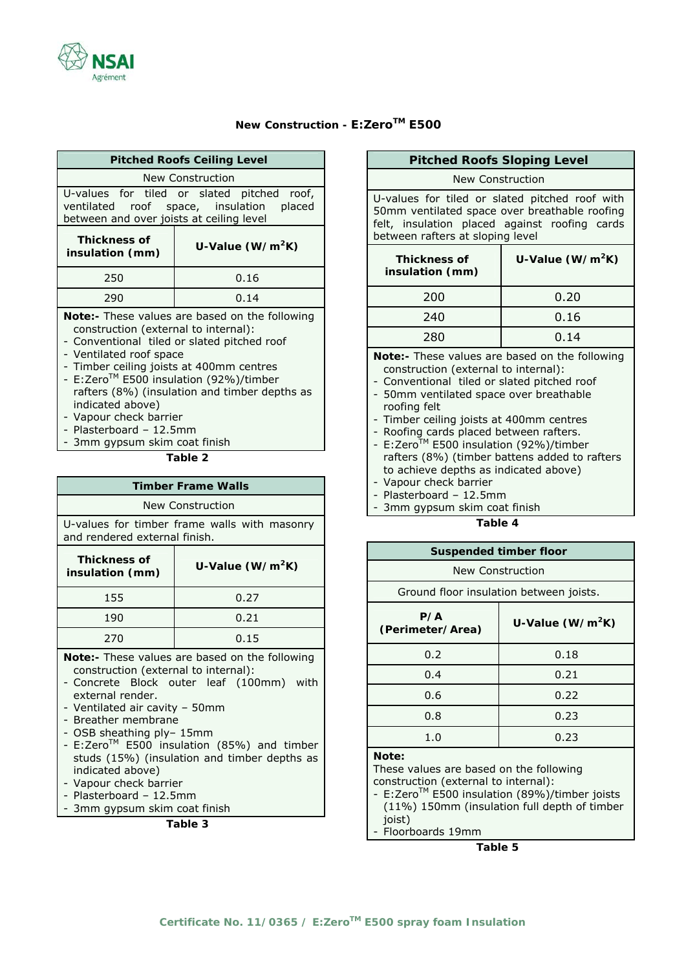# **New Construction - E:ZeroTM E500**

| <b>Pitched Roofs Ceiling Level</b>                                                                                                                                                                                                                                                                                                                                                                                                                   |                                              |  |
|------------------------------------------------------------------------------------------------------------------------------------------------------------------------------------------------------------------------------------------------------------------------------------------------------------------------------------------------------------------------------------------------------------------------------------------------------|----------------------------------------------|--|
|                                                                                                                                                                                                                                                                                                                                                                                                                                                      | New Construction                             |  |
| U-values for tiled or slated pitched<br>roof,<br>ventilated roof space, insulation placed<br>between and over joists at ceiling level                                                                                                                                                                                                                                                                                                                |                                              |  |
| <b>Thickness of</b><br>insulation (mm)                                                                                                                                                                                                                                                                                                                                                                                                               | U-Value (W/m <sup>2</sup> K)                 |  |
| 250                                                                                                                                                                                                                                                                                                                                                                                                                                                  | 0.16                                         |  |
| 290                                                                                                                                                                                                                                                                                                                                                                                                                                                  | 0.14                                         |  |
| Note:- These values are based on the following<br>construction (external to internal):<br>- Conventional tiled or slated pitched roof<br>- Ventilated roof space<br>- Timber ceiling joists at 400mm centres<br>- E:Zero™ E500 insulation (92%)/timber<br>rafters (8%) (insulation and timber depths as<br>indicated above)<br>- Vapour check barrier<br>- Plasterboard - 12.5mm<br>- 3mm gypsum skim coat finish<br>Table 2                         |                                              |  |
|                                                                                                                                                                                                                                                                                                                                                                                                                                                      | <b>Timber Frame Walls</b>                    |  |
| New Construction                                                                                                                                                                                                                                                                                                                                                                                                                                     |                                              |  |
| and rendered external finish.                                                                                                                                                                                                                                                                                                                                                                                                                        | U-values for timber frame walls with masonry |  |
| <b>Thickness of</b><br>insulation (mm)                                                                                                                                                                                                                                                                                                                                                                                                               | U-Value (W/m <sup>2</sup> K)                 |  |
| 155                                                                                                                                                                                                                                                                                                                                                                                                                                                  | 0.27                                         |  |
| 190                                                                                                                                                                                                                                                                                                                                                                                                                                                  | 0.21                                         |  |
| 270                                                                                                                                                                                                                                                                                                                                                                                                                                                  | 0.15                                         |  |
| Note:- These values are based on the following<br>construction (external to internal):<br>- Concrete Block outer leaf (100mm) with<br>external render.<br>- Ventilated air cavity - 50mm<br>- Breather membrane<br>- OSB sheathing ply- 15mm<br>- E:Zero™ E500 insulation (85%) and timber<br>studs (15%) (insulation and timber depths as<br>indicated above)<br>- Vapour check barrier<br>- Plasterboard - 12.5mm<br>- 3mm gypsum skim coat finish |                                              |  |

**Table 3** 

# New Construction U-values for tiled or slated pitched roof with **Thickness of insulation (mm) U-Value (W/m2K)**  200 0.20 240 0.16 280 0.14 construction (external to internal): - Conventional tiled or slated pitched roof roofing felt - Timber ceiling joists at 400mm centres - Roofing cards placed between rafters. - E:Zero<sup>TM</sup> E500 insulation (92%)/timber rafters (8%) (timber battens added to rafters to achieve depths as indicated above) - Vapour check barrier - Plasterboard – 12.5mm 3mm gypsum skim coat finish **Table 4 Suspended timber floor**  New Construction Ground floor insulation between joists. **P/A (Perimeter/Area) U-Value (W/m2K)**  0.2 0.18

**Table 5** 

# **Pitched Roofs Sloping Level**

50mm ventilated space over breathable roofing felt, insulation placed against roofing cards between rafters at sloping level

| <b>Thickness of</b><br>insulation (mm) | U-Value (W/m <sup>2</sup> K) |
|----------------------------------------|------------------------------|
| 200                                    | 0.20                         |
| 240                                    | 0.16                         |
| 280                                    | 0.14                         |
|                                        |                              |

**Note:-** These values are based on the following

- 50mm ventilated space over breathable

- 
- 
- 
- 
- 
- 

| <b>JUSHEINER UITINEL TIUUI</b>                                                           |                              |  |  |
|------------------------------------------------------------------------------------------|------------------------------|--|--|
| New Construction                                                                         |                              |  |  |
| Ground floor insulation between joists.                                                  |                              |  |  |
| P/A<br>(Perimeter/Area)                                                                  | U-Value (W/m <sup>2</sup> K) |  |  |
| 0.2                                                                                      | 0.18                         |  |  |
| 0.4                                                                                      | 0.21                         |  |  |
| 0.6                                                                                      | 0.22                         |  |  |
| 0.23<br>0.8                                                                              |                              |  |  |
| 1.0                                                                                      | 0.23                         |  |  |
| Note:<br>These values are based on the following<br>construction (external to internal): |                              |  |  |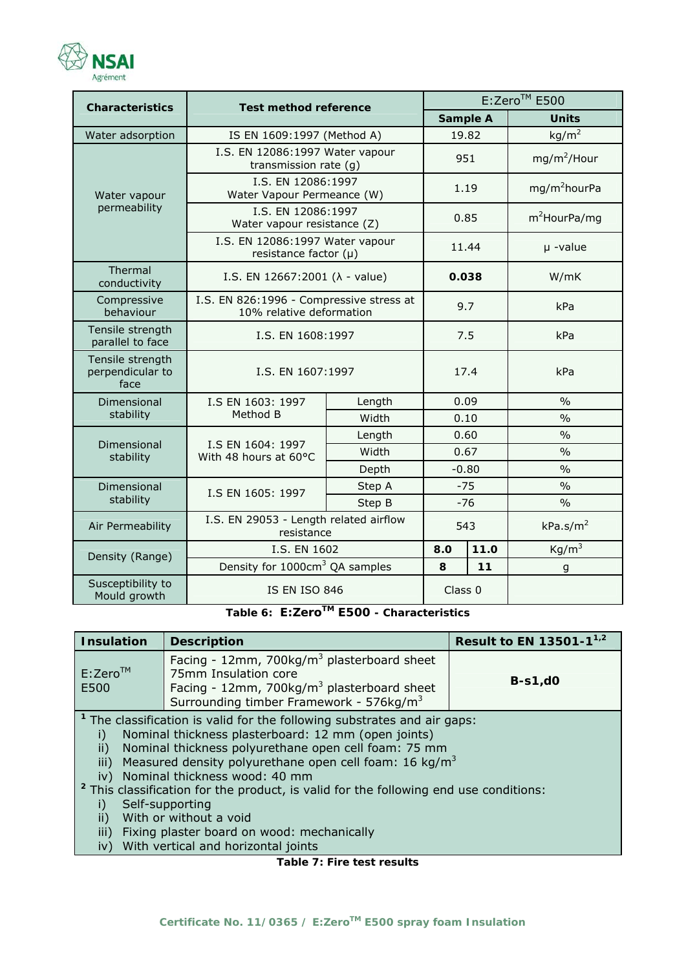

| <b>Characteristics</b>                        | <b>Test method reference</b>                                         |                   | E:Zero™ E500 |      |                          |
|-----------------------------------------------|----------------------------------------------------------------------|-------------------|--------------|------|--------------------------|
|                                               |                                                                      |                   | Sample A     |      | <b>Units</b>             |
| Water adsorption                              | IS EN 1609:1997 (Method A)                                           |                   | 19.82        |      | kg/m <sup>2</sup>        |
|                                               | I.S. EN 12086:1997 Water vapour<br>transmission rate (g)             |                   | 951          |      | $mg/m^2$ /Hour           |
| Water vapour                                  | I.S. EN 12086:1997<br>Water Vapour Permeance (W)                     |                   | 1.19         |      | mg/m <sup>2</sup> hourPa |
| permeability                                  | I.S. EN 12086:1997<br>Water vapour resistance (Z)                    |                   | 0.85         |      | m <sup>2</sup> HourPa/mg |
|                                               | I.S. EN 12086:1997 Water vapour<br>resistance factor $(\mu)$         |                   | 11.44        |      | $\mu$ -value             |
| Thermal<br>conductivity                       | I.S. EN 12667:2001 ( $\lambda$ - value)                              |                   | 0.038        |      | W/mK                     |
| Compressive<br>behaviour                      | I.S. EN 826:1996 - Compressive stress at<br>10% relative deformation |                   | 9.7          |      | kPa                      |
| Tensile strength<br>parallel to face          | I.S. EN 1608:1997                                                    |                   | 7.5          |      | kPa                      |
| Tensile strength<br>perpendicular to<br>face  | I.S. EN 1607:1997                                                    |                   | 17.4         |      | kPa                      |
| Dimensional                                   | Length<br>I.S EN 1603: 1997                                          |                   | 0.09         |      | $\frac{0}{0}$            |
| stability                                     |                                                                      | Method B<br>Width |              | 0.10 | $\frac{0}{0}$            |
| Dimensional<br>stability                      | I.S EN 1604: 1997<br>With 48 hours at 60°C                           | Length            | 0.60         |      | $\frac{0}{0}$            |
|                                               |                                                                      | Width             | 0.67         |      | $\frac{0}{0}$            |
|                                               |                                                                      | Depth             | $-0.80$      |      | $\frac{0}{0}$            |
| Dimensional<br>I.S EN 1605: 1997<br>stability |                                                                      | Step A            | $-75$        |      | $\frac{0}{0}$            |
|                                               |                                                                      | Step B            | $-76$        |      | $\frac{0}{0}$            |
| Air Permeability                              | I.S. EN 29053 - Length related airflow<br>resistance                 |                   | 543          |      | kPa.s/m <sup>2</sup>     |
| I.S. EN 1602<br>Density (Range)               |                                                                      |                   | 8.0          | 11.0 | Kg/m <sup>3</sup>        |
|                                               | Density for 1000cm <sup>3</sup> QA samples                           |                   | 8            | 11   | g                        |
| Susceptibility to<br>Mould growth             | <b>IS EN ISO 846</b>                                                 |                   | Class 0      |      |                          |

**Table 6: E:ZeroTM E500 - Characteristics** 

| <b>Insulation</b>                                                                                                                                                                                                                                                                                                                                                                                                                                                                                                                                                                                       | <b>Description</b>                                                                                                                                                                              | Result to EN 13501-1 <sup>1,2</sup> |  |
|---------------------------------------------------------------------------------------------------------------------------------------------------------------------------------------------------------------------------------------------------------------------------------------------------------------------------------------------------------------------------------------------------------------------------------------------------------------------------------------------------------------------------------------------------------------------------------------------------------|-------------------------------------------------------------------------------------------------------------------------------------------------------------------------------------------------|-------------------------------------|--|
| $E:Zero^{TM}$<br>E500                                                                                                                                                                                                                                                                                                                                                                                                                                                                                                                                                                                   | Facing - 12mm, 700kg/m <sup>3</sup> plasterboard sheet<br>75mm Insulation core<br>Facing - 12mm, 700kg/m <sup>3</sup> plasterboard sheet<br>Surrounding timber Framework - 576kg/m <sup>3</sup> | $B-s1,d0$                           |  |
| <sup>1</sup> The classification is valid for the following substrates and air gaps:<br>Nominal thickness plasterboard: 12 mm (open joints)<br>i)<br>Nominal thickness polyurethane open cell foam: 75 mm<br>ii)<br>Measured density polyurethane open cell foam: 16 kg/m <sup>3</sup><br>iii)<br>Nominal thickness wood: 40 mm<br>iv)<br><sup>2</sup> This classification for the product, is valid for the following end use conditions:<br>Self-supporting<br>i)<br>With or without a void<br>ii)<br>iii)<br>Fixing plaster board on wood: mechanically<br>With vertical and horizontal joints<br>iv) |                                                                                                                                                                                                 |                                     |  |

**Table 7: Fire test results**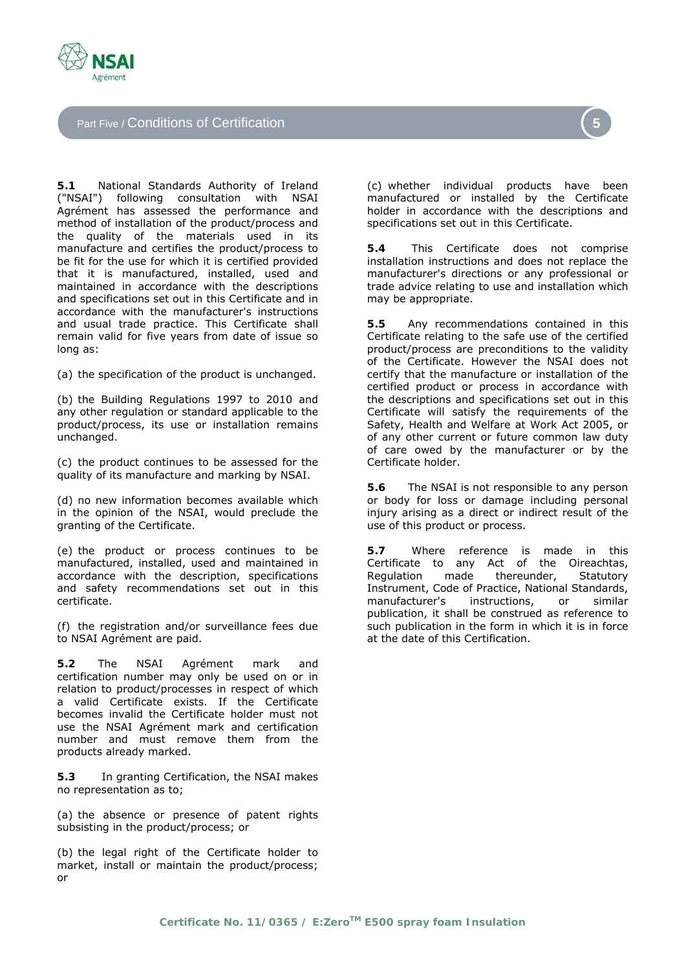

Part Five / Conditions of Certification

**5.1** National Standards Authority of Ireland ("NSAI") following consultation with NSAI Agrément has assessed the performance and method of installation of the product/process and the quality of the materials used in its manufacture and certifies the product/process to be fit for the use for which it is certified provided that it is manufactured, installed, used and maintained in accordance with the descriptions and specifications set out in this Certificate and in accordance with the manufacturer's instructions and usual trade practice. This Certificate shall remain valid for five years from date of issue so long as:

(a) the specification of the product is unchanged.

(b) the Building Regulations 1997 to 2010 and any other regulation or standard applicable to the product/process, its use or installation remains unchanged.

(c) the product continues to be assessed for the quality of its manufacture and marking by NSAI.

(d) no new information becomes available which in the opinion of the NSAI, would preclude the granting of the Certificate.

(e) the product or process continues to be manufactured, installed, used and maintained in accordance with the description, specifications and safety recommendations set out in this certificate.

(f) the registration and/or surveillance fees due to NSAI Agrément are paid.

**5.2** The NSAI Agrément mark and certification number may only be used on or in relation to product/processes in respect of which a valid Certificate exists. If the Certificate becomes invalid the Certificate holder must not use the NSAI Agrément mark and certification number and must remove them from the products already marked.

**5.3** In granting Certification, the NSAI makes no representation as to;

(a) the absence or presence of patent rights subsisting in the product/process; or

(b) the legal right of the Certificate holder to market, install or maintain the product/process; or

(c) whether individual products have been manufactured or installed by the Certificate holder in accordance with the descriptions and specifications set out in this Certificate.

**5.4** This Certificate does not comprise installation instructions and does not replace the manufacturer's directions or any professional or trade advice relating to use and installation which may be appropriate.

**5.5** Any recommendations contained in this Certificate relating to the safe use of the certified product/process are preconditions to the validity of the Certificate. However the NSAI does not certify that the manufacture or installation of the certified product or process in accordance with the descriptions and specifications set out in this Certificate will satisfy the requirements of the Safety, Health and Welfare at Work Act 2005, or of any other current or future common law duty of care owed by the manufacturer or by the Certificate holder.

**5.6** The NSAI is not responsible to any person or body for loss or damage including personal injury arising as a direct or indirect result of the use of this product or process.

**5.7** Where reference is made in this Certificate to any Act of the Oireachtas, Regulation made thereunder, Statutory Instrument, Code of Practice, National Standards, manufacturer's instructions, or similar publication, it shall be construed as reference to such publication in the form in which it is in force at the date of this Certification.